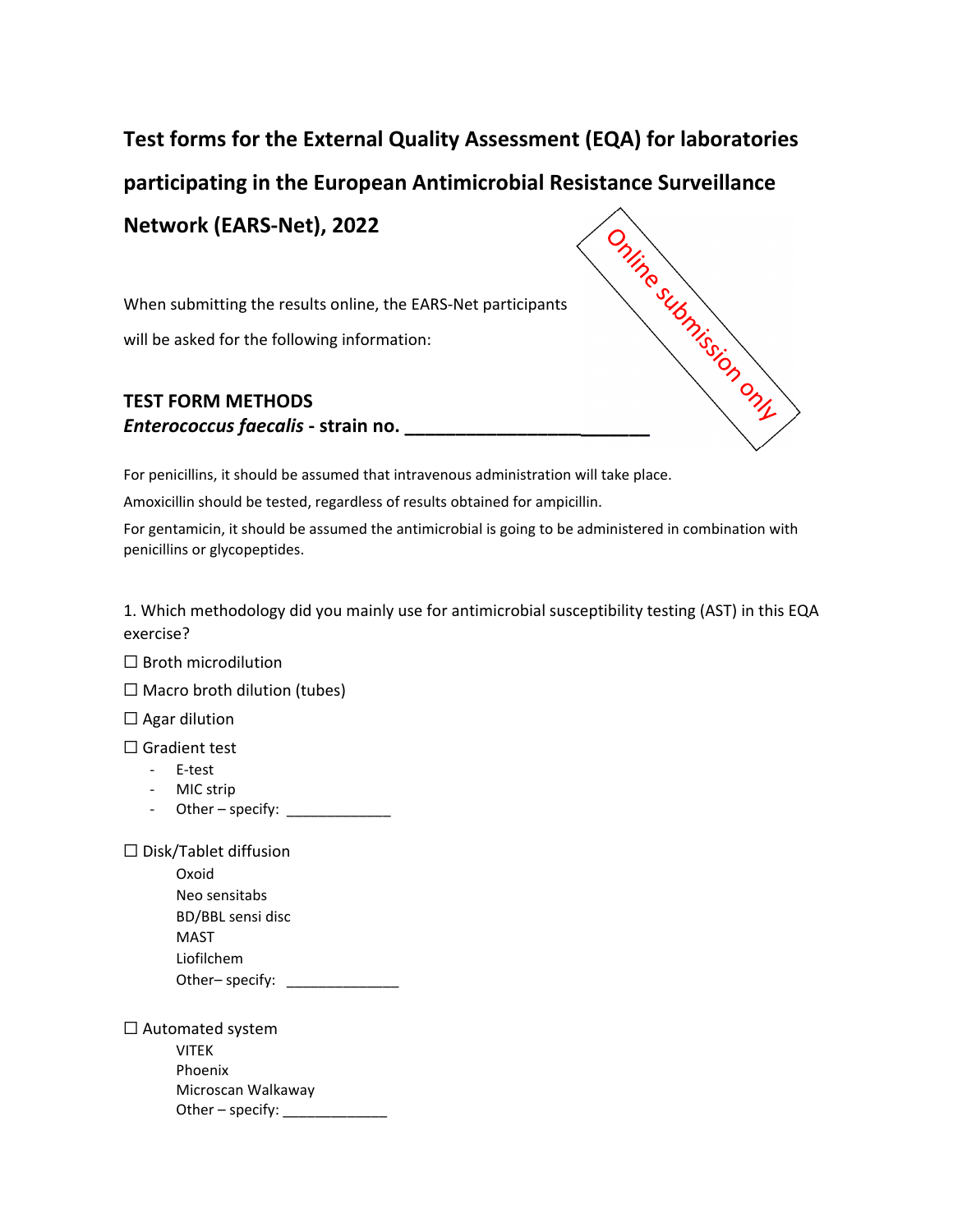## **Test forms for the External Quality Assessment (EQA) for laboratories participating in the European Antimicrobial Resistance Surveillance**<br> **Network (EARS-Net), 2022**<br> **Participants**<br> **Participants**<br> **Participants**<br> **Participants**<br> **Participants**<br> **Participants Network (EARS‐Net), 2022**

When submitting the results online, the EARS‐Net participants will be asked for the following information:

## **TEST FORM METHODS** *Enterococcus faecalis* **‐ strain no. \_\_\_\_\_\_\_\_\_\_\_\_\_\_\_\_\_\_\_\_\_\_\_\_**

For penicillins, it should be assumed that intravenous administration will take place.

Amoxicillin should be tested, regardless of results obtained for ampicillin.

For gentamicin, it should be assumed the antimicrobial is going to be administered in combination with penicillins or glycopeptides.

1. Which methodology did you mainly use for antimicrobial susceptibility testing (AST) in this EQA exercise?

 $\Box$  Broth microdilution

 $\Box$  Macro broth dilution (tubes)

 $\Box$  Agar dilution

☐ Gradient test

- ‐ E‐test
- ‐ MIC strip
- Other specify:  $\sqrt{2\pi}$

 $\Box$  Disk/Tablet diffusion

Oxoid Neo sensitabs BD/BBL sensi disc MAST Liofilchem Other– specify:

□ Automated system VITEK Phoenix Microscan Walkaway Other – specify: \_\_\_\_\_\_\_\_\_\_\_\_\_